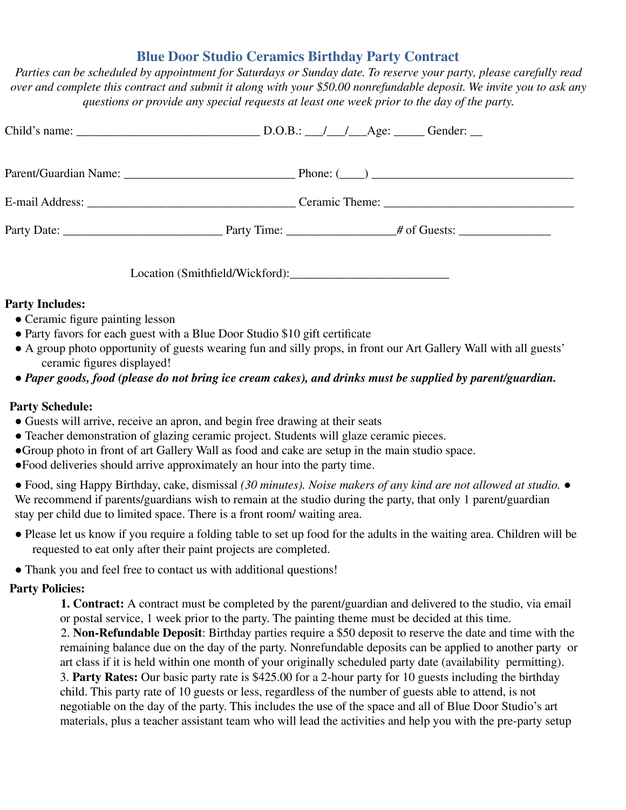## **Blue Door Studio Ceramics Birthday Party Contract**

*Parties can be scheduled by appointment for Saturdays or Sunday date. To reserve your party, please carefully read over and complete this contract and submit it along with your \$50.00 nonrefundable deposit. We invite you to ask any questions or provide any special requests at least one week prior to the day of the party.*

Location (Smithfield/Wickford):

## **Party Includes:**

- Ceramic figure painting lesson
- Party favors for each guest with a Blue Door Studio \$10 gift certificate
- A group photo opportunity of guests wearing fun and silly props, in front our Art Gallery Wall with all guests' ceramic figures displayed!
- *Paper goods, food (please do not bring ice cream cakes), and drinks must be supplied by parent/guardian.*

## **Party Schedule:**

- Guests will arrive, receive an apron, and begin free drawing at their seats
- Teacher demonstration of glazing ceramic project. Students will glaze ceramic pieces.
- ●Group photo in front of art Gallery Wall as food and cake are setup in the main studio space.
- ●Food deliveries should arrive approximately an hour into the party time.

● Food, sing Happy Birthday, cake, dismissal *(30 minutes). Noise makers of any kind are not allowed at studio.* ● We recommend if parents/guardians wish to remain at the studio during the party, that only 1 parent/guardian stay per child due to limited space. There is a front room/ waiting area.

- Please let us know if you require a folding table to set up food for the adults in the waiting area. Children will be requested to eat only after their paint projects are completed.
- Thank you and feel free to contact us with additional questions!

## **Party Policies:**

**1. Contract:** A contract must be completed by the parent/guardian and delivered to the studio, via email or postal service, 1 week prior to the party. The painting theme must be decided at this time.

2. **Non-Refundable Deposit**: Birthday parties require a \$50 deposit to reserve the date and time with the remaining balance due on the day of the party. Nonrefundable deposits can be applied to another party or art class if it is held within one month of your originally scheduled party date (availability permitting).

3. **Party Rates:** Our basic party rate is \$425.00 for a 2-hour party for 10 guests including the birthday child. This party rate of 10 guests or less, regardless of the number of guests able to attend, is not negotiable on the day of the party. This includes the use of the space and all of Blue Door Studio's art materials, plus a teacher assistant team who will lead the activities and help you with the pre-party setup